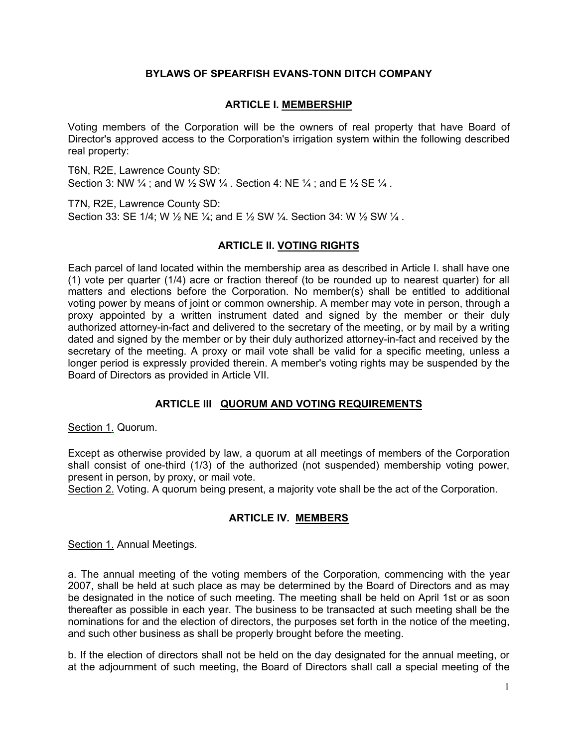# **BYLAWS OF SPEARFISH EVANS-TONN DITCH COMPANY**

## **ARTICLE I. MEMBERSHIP**

Voting members of the Corporation will be the owners of real property that have Board of Director's approved access to the Corporation's irrigation system within the following described real property:

T6N, R2E, Lawrence County SD: Section 3: NW  $\frac{1}{4}$  ; and W  $\frac{1}{2}$  SW  $\frac{1}{4}$ . Section 4: NE  $\frac{1}{4}$ ; and E  $\frac{1}{2}$  SE  $\frac{1}{4}$ .

T7N, R2E, Lawrence County SD: Section 33: SE 1/4; W 1/2 NE 1/4; and E 1/2 SW 1/4. Section 34: W 1/2 SW 1/4.

# **ARTICLE II. VOTING RIGHTS**

Each parcel of land located within the membership area as described in Article I. shall have one (1) vote per quarter (1/4) acre or fraction thereof (to be rounded up to nearest quarter) for all matters and elections before the Corporation. No member(s) shall be entitled to additional voting power by means of joint or common ownership. A member may vote in person, through a proxy appointed by a written instrument dated and signed by the member or their duly authorized attorney-in-fact and delivered to the secretary of the meeting, or by mail by a writing dated and signed by the member or by their duly authorized attorney-in-fact and received by the secretary of the meeting. A proxy or mail vote shall be valid for a specific meeting, unless a longer period is expressly provided therein. A member's voting rights may be suspended by the Board of Directors as provided in Article VII.

## **ARTICLE III QUORUM AND VOTING REQUIREMENTS**

Section 1. Quorum.

Except as otherwise provided by law, a quorum at all meetings of members of the Corporation shall consist of one-third (1/3) of the authorized (not suspended) membership voting power, present in person, by proxy, or mail vote.

Section 2. Voting. A quorum being present, a majority vote shall be the act of the Corporation.

# **ARTICLE IV. MEMBERS**

Section 1. Annual Meetings.

a. The annual meeting of the voting members of the Corporation, commencing with the year 2007, shall be held at such place as may be determined by the Board of Directors and as may be designated in the notice of such meeting. The meeting shall be held on April 1st or as soon thereafter as possible in each year. The business to be transacted at such meeting shall be the nominations for and the election of directors, the purposes set forth in the notice of the meeting, and such other business as shall be properly brought before the meeting.

b. If the election of directors shall not be held on the day designated for the annual meeting, or at the adjournment of such meeting, the Board of Directors shall call a special meeting of the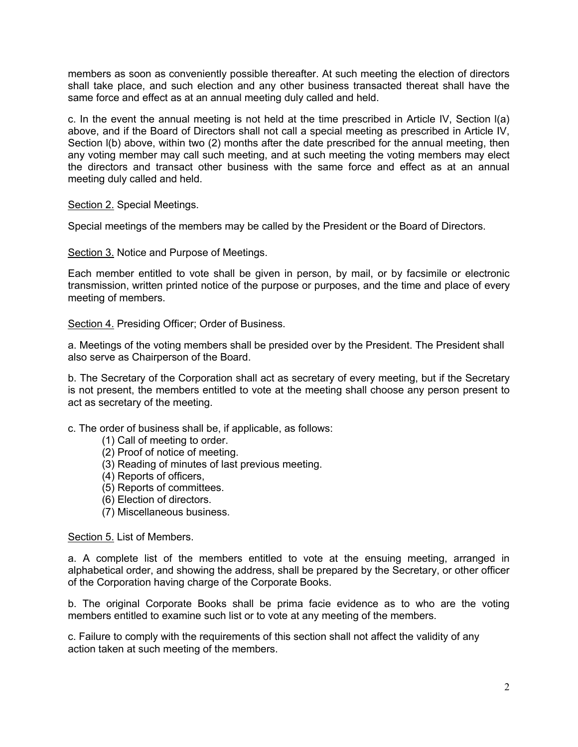members as soon as conveniently possible thereafter. At such meeting the election of directors shall take place, and such election and any other business transacted thereat shall have the same force and effect as at an annual meeting duly called and held.

c. In the event the annual meeting is not held at the time prescribed in Article IV, Section l(a) above, and if the Board of Directors shall not call a special meeting as prescribed in Article IV, Section I(b) above, within two (2) months after the date prescribed for the annual meeting, then any voting member may call such meeting, and at such meeting the voting members may elect the directors and transact other business with the same force and effect as at an annual meeting duly called and held.

Section 2. Special Meetings.

Special meetings of the members may be called by the President or the Board of Directors.

Section 3. Notice and Purpose of Meetings.

Each member entitled to vote shall be given in person, by mail, or by facsimile or electronic transmission, written printed notice of the purpose or purposes, and the time and place of every meeting of members.

Section 4. Presiding Officer; Order of Business.

a. Meetings of the voting members shall be presided over by the President. The President shall also serve as Chairperson of the Board.

b. The Secretary of the Corporation shall act as secretary of every meeting, but if the Secretary is not present, the members entitled to vote at the meeting shall choose any person present to act as secretary of the meeting.

c. The order of business shall be, if applicable, as follows:

- (1) Call of meeting to order.
- (2) Proof of notice of meeting.
- (3) Reading of minutes of last previous meeting.
- (4) Reports of officers,
- (5) Reports of committees.
- (6) Election of directors.
- (7) Miscellaneous business.

#### Section 5. List of Members.

a. A complete list of the members entitled to vote at the ensuing meeting, arranged in alphabetical order, and showing the address, shall be prepared by the Secretary, or other officer of the Corporation having charge of the Corporate Books.

b. The original Corporate Books shall be prima facie evidence as to who are the voting members entitled to examine such list or to vote at any meeting of the members.

c. Failure to comply with the requirements of this section shall not affect the validity of any action taken at such meeting of the members.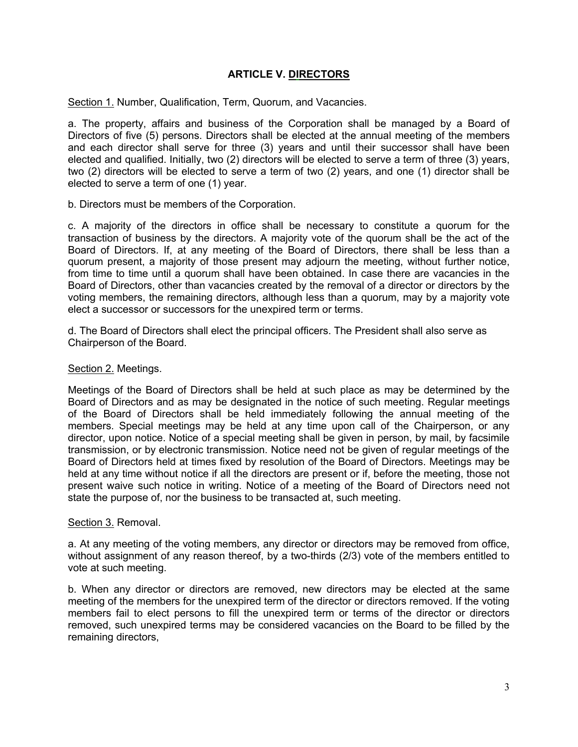# **ARTICLE V. DIRECTORS**

Section 1. Number, Qualification, Term, Quorum, and Vacancies.

a. The property, affairs and business of the Corporation shall be managed by a Board of Directors of five (5) persons. Directors shall be elected at the annual meeting of the members and each director shall serve for three (3) years and until their successor shall have been elected and qualified. Initially, two (2) directors will be elected to serve a term of three (3) years, two (2) directors will be elected to serve a term of two (2) years, and one (1) director shall be elected to serve a term of one (1) year.

b. Directors must be members of the Corporation.

c. A majority of the directors in office shall be necessary to constitute a quorum for the transaction of business by the directors. A majority vote of the quorum shall be the act of the Board of Directors. If, at any meeting of the Board of Directors, there shall be less than a quorum present, a majority of those present may adjourn the meeting, without further notice, from time to time until a quorum shall have been obtained. In case there are vacancies in the Board of Directors, other than vacancies created by the removal of a director or directors by the voting members, the remaining directors, although less than a quorum, may by a majority vote elect a successor or successors for the unexpired term or terms.

d. The Board of Directors shall elect the principal officers. The President shall also serve as Chairperson of the Board.

### Section 2. Meetings.

Meetings of the Board of Directors shall be held at such place as may be determined by the Board of Directors and as may be designated in the notice of such meeting. Regular meetings of the Board of Directors shall be held immediately following the annual meeting of the members. Special meetings may be held at any time upon call of the Chairperson, or any director, upon notice. Notice of a special meeting shall be given in person, by mail, by facsimile transmission, or by electronic transmission. Notice need not be given of regular meetings of the Board of Directors held at times fixed by resolution of the Board of Directors. Meetings may be held at any time without notice if all the directors are present or if, before the meeting, those not present waive such notice in writing. Notice of a meeting of the Board of Directors need not state the purpose of, nor the business to be transacted at, such meeting.

#### Section 3. Removal.

a. At any meeting of the voting members, any director or directors may be removed from office, without assignment of any reason thereof, by a two-thirds (2/3) vote of the members entitled to vote at such meeting.

b. When any director or directors are removed, new directors may be elected at the same meeting of the members for the unexpired term of the director or directors removed. If the voting members fail to elect persons to fill the unexpired term or terms of the director or directors removed, such unexpired terms may be considered vacancies on the Board to be filled by the remaining directors,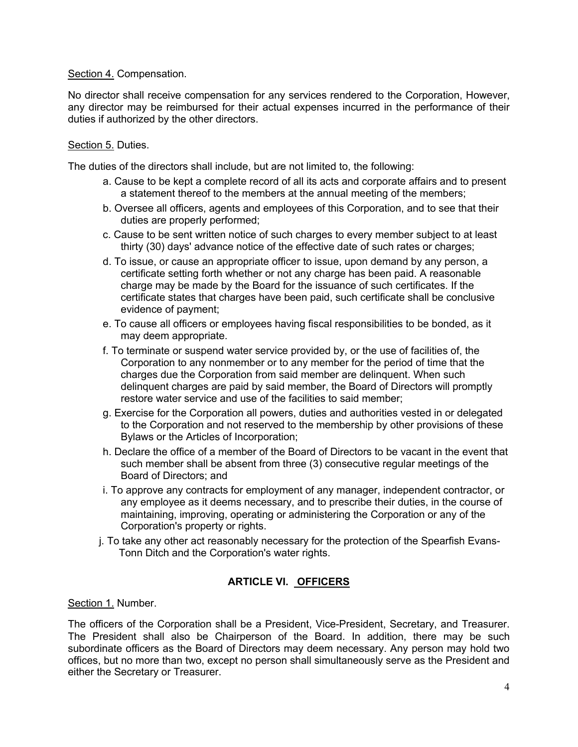### Section 4. Compensation.

No director shall receive compensation for any services rendered to the Corporation, However, any director may be reimbursed for their actual expenses incurred in the performance of their duties if authorized by the other directors.

### Section 5. Duties.

The duties of the directors shall include, but are not limited to, the following:

- a. Cause to be kept a complete record of all its acts and corporate affairs and to present a statement thereof to the members at the annual meeting of the members;
- b. Oversee all officers, agents and employees of this Corporation, and to see that their duties are properly performed;
- c. Cause to be sent written notice of such charges to every member subject to at least thirty (30) days' advance notice of the effective date of such rates or charges;
- d. To issue, or cause an appropriate officer to issue, upon demand by any person, a certificate setting forth whether or not any charge has been paid. A reasonable charge may be made by the Board for the issuance of such certificates. If the certificate states that charges have been paid, such certificate shall be conclusive evidence of payment;
- e. To cause all officers or employees having fiscal responsibilities to be bonded, as it may deem appropriate.
- f. To terminate or suspend water service provided by, or the use of facilities of, the Corporation to any nonmember or to any member for the period of time that the charges due the Corporation from said member are delinquent. When such delinquent charges are paid by said member, the Board of Directors will promptly restore water service and use of the facilities to said member;
- g. Exercise for the Corporation all powers, duties and authorities vested in or delegated to the Corporation and not reserved to the membership by other provisions of these Bylaws or the Articles of Incorporation;
- h. Declare the office of a member of the Board of Directors to be vacant in the event that such member shall be absent from three (3) consecutive regular meetings of the Board of Directors; and
- i. To approve any contracts for employment of any manager, independent contractor, or any employee as it deems necessary, and to prescribe their duties, in the course of maintaining, improving, operating or administering the Corporation or any of the Corporation's property or rights.
- j. To take any other act reasonably necessary for the protection of the Spearfish Evans-Tonn Ditch and the Corporation's water rights.

# **ARTICLE VI. OFFICERS**

Section 1. Number.

The officers of the Corporation shall be a President, Vice-President, Secretary, and Treasurer. The President shall also be Chairperson of the Board. In addition, there may be such subordinate officers as the Board of Directors may deem necessary. Any person may hold two offices, but no more than two, except no person shall simultaneously serve as the President and either the Secretary or Treasurer.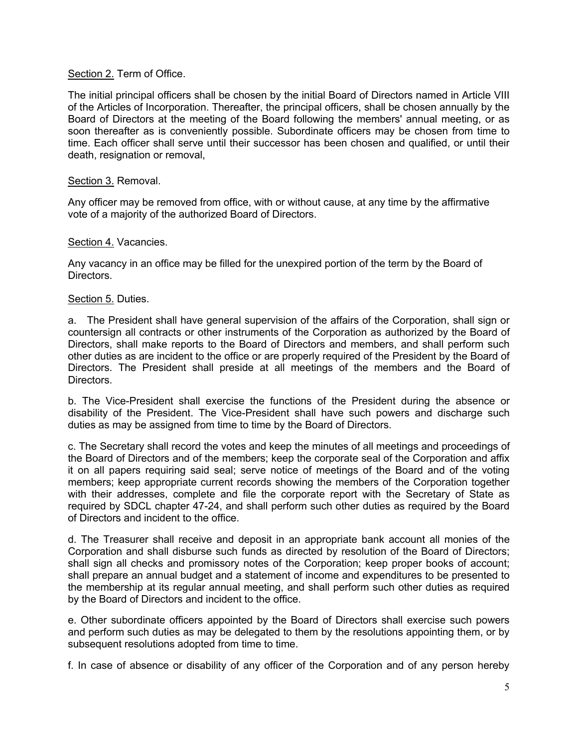#### Section 2. Term of Office.

The initial principal officers shall be chosen by the initial Board of Directors named in Article VIII of the Articles of Incorporation. Thereafter, the principal officers, shall be chosen annually by the Board of Directors at the meeting of the Board following the members' annual meeting, or as soon thereafter as is conveniently possible. Subordinate officers may be chosen from time to time. Each officer shall serve until their successor has been chosen and qualified, or until their death, resignation or removal,

### Section 3. Removal.

Any officer may be removed from office, with or without cause, at any time by the affirmative vote of a majority of the authorized Board of Directors.

### Section 4. Vacancies.

Any vacancy in an office may be filled for the unexpired portion of the term by the Board of Directors.

#### Section 5. Duties.

a. The President shall have general supervision of the affairs of the Corporation, shall sign or countersign all contracts or other instruments of the Corporation as authorized by the Board of Directors, shall make reports to the Board of Directors and members, and shall perform such other duties as are incident to the office or are properly required of the President by the Board of Directors. The President shall preside at all meetings of the members and the Board of Directors.

b. The Vice-President shall exercise the functions of the President during the absence or disability of the President. The Vice-President shall have such powers and discharge such duties as may be assigned from time to time by the Board of Directors.

c. The Secretary shall record the votes and keep the minutes of all meetings and proceedings of the Board of Directors and of the members; keep the corporate seal of the Corporation and affix it on all papers requiring said seal; serve notice of meetings of the Board and of the voting members; keep appropriate current records showing the members of the Corporation together with their addresses, complete and file the corporate report with the Secretary of State as required by SDCL chapter 47-24, and shall perform such other duties as required by the Board of Directors and incident to the office.

d. The Treasurer shall receive and deposit in an appropriate bank account all monies of the Corporation and shall disburse such funds as directed by resolution of the Board of Directors; shall sign all checks and promissory notes of the Corporation; keep proper books of account; shall prepare an annual budget and a statement of income and expenditures to be presented to the membership at its regular annual meeting, and shall perform such other duties as required by the Board of Directors and incident to the office.

e. Other subordinate officers appointed by the Board of Directors shall exercise such powers and perform such duties as may be delegated to them by the resolutions appointing them, or by subsequent resolutions adopted from time to time.

f. In case of absence or disability of any officer of the Corporation and of any person hereby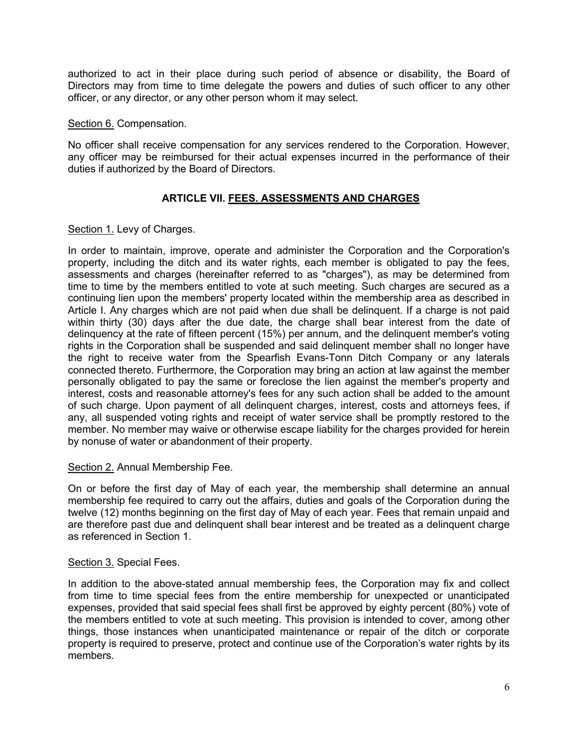authorized to act in their place during such period of absence or disability, the Board of Directors may from time to time delegate the powers and duties of such officer to any other officer, or any director, or any other person whom it may select.

#### Section 6. Compensation.

No officer shall receive compensation for any services rendered to the Corporation. However, any officer may be reimbursed for their actual expenses incurred in the performance of their duties if authorized by the Board of Directors.

# **ARTICLE VII. FEES. ASSESSMENTS AND CHARGES**

## Section 1. Levy of Charges.

In order to maintain, improve, operate and administer the Corporation and the Corporation's property, including the ditch and its water rights, each member is obligated to pay the fees, assessments and charges (hereinafter referred to as "charges"), as may be determined from time to time by the members entitled to vote at such meeting. Such charges are secured as a continuing lien upon the members' property located within the membership area as described in Article I. Any charges which are not paid when due shall be delinquent. If a charge is not paid within thirty (30) days after the due date, the charge shall bear interest from the date of delinquency at the rate of fifteen percent (15%) per annum, and the delinquent member's voting rights in the Corporation shall be suspended and said delinquent member shall no longer have the right to receive water from the Spearfish Evans-Tonn Ditch Company or any laterals connected thereto. Furthermore, the Corporation may bring an action at law against the member personally obligated to pay the same or foreclose the lien against the member's property and interest, costs and reasonable attorney's fees for any such action shall be added to the amount of such charge. Upon payment of all delinquent charges, interest, costs and attorneys fees, if any, all suspended voting rights and receipt of water service shall be promptly restored to the member. No member may waive or otherwise escape liability for the charges provided for herein by nonuse of water or abandonment of their property.

## Section 2. Annual Membership Fee.

On or before the first day of May of each year, the membership shall determine an annual membership fee required to carry out the affairs, duties and goals of the Corporation during the twelve (12) months beginning on the first day of May of each year. Fees that remain unpaid and are therefore past due and delinquent shall bear interest and be treated as a delinquent charge as referenced in Section 1.

#### Section 3. Special Fees.

In addition to the above-stated annual membership fees, the Corporation may fix and collect from time to time special fees from the entire membership for unexpected or unanticipated expenses, provided that said special fees shall first be approved by eighty percent (80%) vote of the members entitled to vote at such meeting. This provision is intended to cover, among other things, those instances when unanticipated maintenance or repair of the ditch or corporate property is required to preserve, protect and continue use of the Corporation's water rights by its members.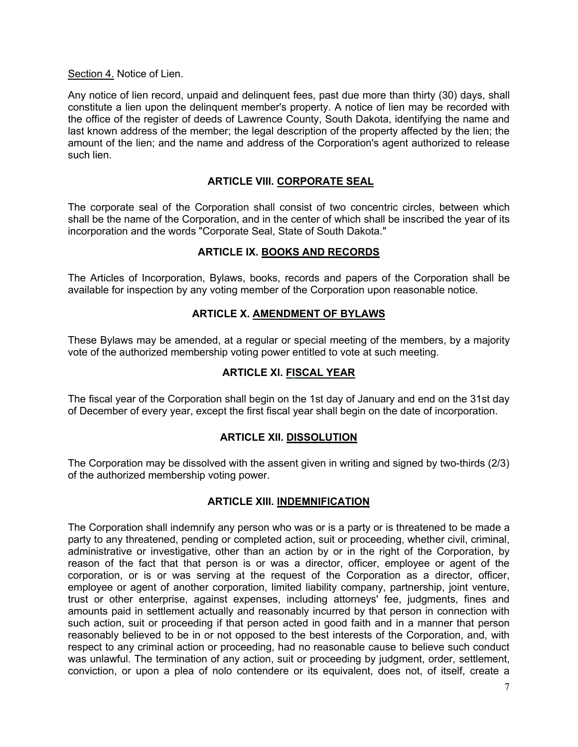Section 4. Notice of Lien.

Any notice of lien record, unpaid and delinquent fees, past due more than thirty (30) days, shall constitute a lien upon the delinquent member's property. A notice of lien may be recorded with the office of the register of deeds of Lawrence County, South Dakota, identifying the name and last known address of the member; the legal description of the property affected by the lien; the amount of the lien; and the name and address of the Corporation's agent authorized to release such lien.

# **ARTICLE VIII. CORPORATE SEAL**

The corporate seal of the Corporation shall consist of two concentric circles, between which shall be the name of the Corporation, and in the center of which shall be inscribed the year of its incorporation and the words "Corporate Seal, State of South Dakota."

## **ARTICLE IX. BOOKS AND RECORDS**

The Articles of Incorporation, Bylaws, books, records and papers of the Corporation shall be available for inspection by any voting member of the Corporation upon reasonable notice.

## **ARTICLE X. AMENDMENT OF BYLAWS**

These Bylaws may be amended, at a regular or special meeting of the members, by a majority vote of the authorized membership voting power entitled to vote at such meeting.

# **ARTICLE Xl. FISCAL YEAR**

The fiscal year of the Corporation shall begin on the 1st day of January and end on the 31st day of December of every year, except the first fiscal year shall begin on the date of incorporation.

#### **ARTICLE XII. DISSOLUTION**

The Corporation may be dissolved with the assent given in writing and signed by two-thirds (2/3) of the authorized membership voting power.

## **ARTICLE XIII. INDEMNIFICATION**

The Corporation shall indemnify any person who was or is a party or is threatened to be made a party to any threatened, pending or completed action, suit or proceeding, whether civil, criminal, administrative or investigative, other than an action by or in the right of the Corporation, by reason of the fact that that person is or was a director, officer, employee or agent of the corporation, or is or was serving at the request of the Corporation as a director, officer, employee or agent of another corporation, limited liability company, partnership, joint venture, trust or other enterprise, against expenses, including attorneys' fee, judgments, fines and amounts paid in settlement actually and reasonably incurred by that person in connection with such action, suit or proceeding if that person acted in good faith and in a manner that person reasonably believed to be in or not opposed to the best interests of the Corporation, and, with respect to any criminal action or proceeding, had no reasonable cause to believe such conduct was unlawful. The termination of any action, suit or proceeding by judgment, order, settlement, conviction, or upon a plea of nolo contendere or its equivalent, does not, of itself, create a